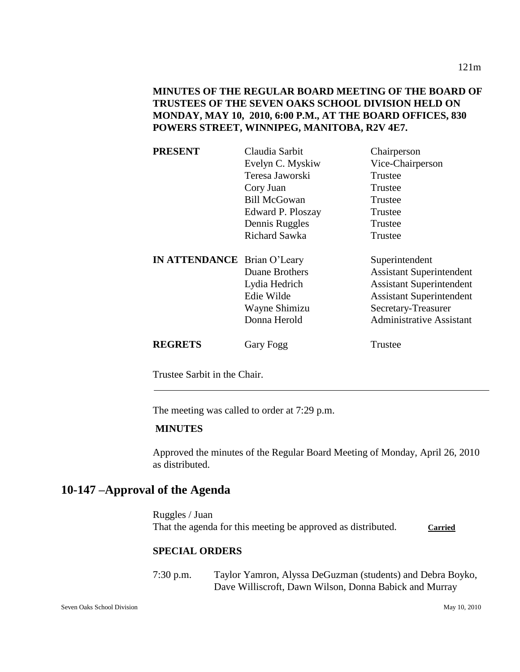| <b>PRESENT</b>                     | Claudia Sarbit       | Chairperson                     |
|------------------------------------|----------------------|---------------------------------|
|                                    | Evelyn C. Myskiw     | Vice-Chairperson                |
|                                    | Teresa Jaworski      | Trustee                         |
|                                    | Cory Juan            | Trustee                         |
|                                    | <b>Bill McGowan</b>  | Trustee                         |
|                                    | Edward P. Ploszay    | Trustee                         |
|                                    | Dennis Ruggles       | Trustee                         |
|                                    | <b>Richard Sawka</b> | Trustee                         |
| <b>IN ATTENDANCE</b> Brian O'Leary |                      | Superintendent                  |
|                                    | Duane Brothers       | <b>Assistant Superintendent</b> |
|                                    | Lydia Hedrich        | <b>Assistant Superintendent</b> |
|                                    | Edie Wilde           | <b>Assistant Superintendent</b> |
|                                    | Wayne Shimizu        | Secretary-Treasurer             |
|                                    |                      |                                 |
|                                    | Donna Herold         | <b>Administrative Assistant</b> |

Trustee Sarbit in the Chair.

The meeting was called to order at 7:29 p.m.

## **MINUTES**

Approved the minutes of the Regular Board Meeting of Monday, April 26, 2010 as distributed.

## **10-147 –Approval of the Agenda**

Ruggles / Juan That the agenda for this meeting be approved as distributed. Carried

## **SPECIAL ORDERS**

7:30 p.m. Taylor Yamron, Alyssa DeGuzman (students) and Debra Boyko, Dave Williscroft, Dawn Wilson, Donna Babick and Murray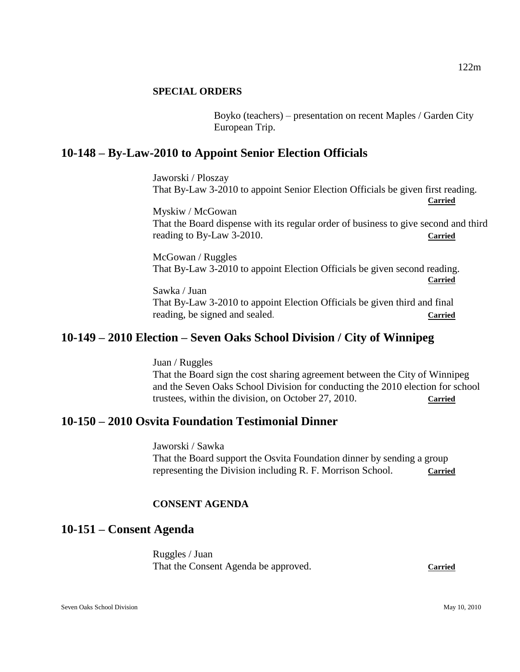## **SPECIAL ORDERS**

Boyko (teachers) – presentation on recent Maples / Garden City European Trip.

## **10-148 – By-Law-2010 to Appoint Senior Election Officials**

Jaworski / Ploszay That By-Law 3-2010 to appoint Senior Election Officials be given first reading. **Carried**

Myskiw / McGowan That the Board dispense with its regular order of business to give second and third reading to By-Law 3-2010. **Carried**

McGowan / Ruggles That By-Law 3-2010 to appoint Election Officials be given second reading. **Carried**

Sawka / Juan That By-Law 3-2010 to appoint Election Officials be given third and final reading, be signed and sealed. **Carried**

## **10-149 – 2010 Election – Seven Oaks School Division / City of Winnipeg**

Juan / Ruggles That the Board sign the cost sharing agreement between the City of Winnipeg and the Seven Oaks School Division for conducting the 2010 election for school trustees, within the division, on October 27, 2010. **Carried**

## **10-150 – 2010 Osvita Foundation Testimonial Dinner**

Jaworski / Sawka That the Board support the Osvita Foundation dinner by sending a group representing the Division including R. F. Morrison School. **Carried**

## **CONSENT AGENDA**

## **10-151 – Consent Agenda**

Ruggles / Juan That the Consent Agenda be approved. **Carried**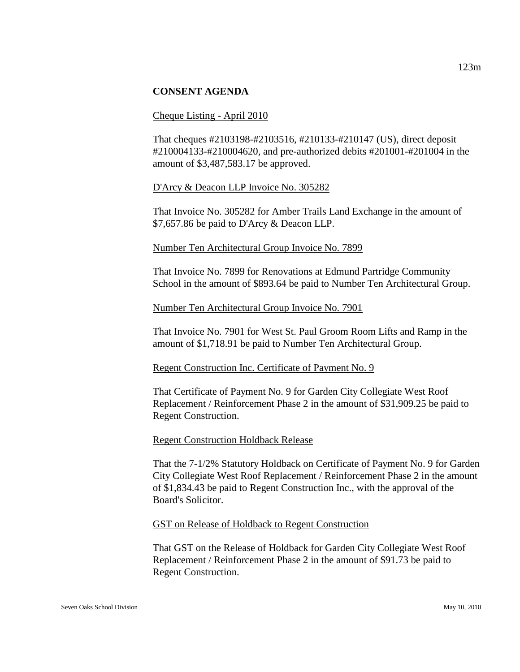#### Cheque Listing - April 2010

That cheques #2103198-#2103516, #210133-#210147 (US), direct deposit #210004133-#210004620, and pre-authorized debits #201001-#201004 in the amount of \$3,487,583.17 be approved.

#### D'Arcy & Deacon LLP Invoice No. 305282

That Invoice No. 305282 for Amber Trails Land Exchange in the amount of \$7,657.86 be paid to D'Arcy & Deacon LLP.

### Number Ten Architectural Group Invoice No. 7899

That Invoice No. 7899 for Renovations at Edmund Partridge Community School in the amount of \$893.64 be paid to Number Ten Architectural Group.

### Number Ten Architectural Group Invoice No. 7901

That Invoice No. 7901 for West St. Paul Groom Room Lifts and Ramp in the amount of \$1,718.91 be paid to Number Ten Architectural Group.

#### Regent Construction Inc. Certificate of Payment No. 9

That Certificate of Payment No. 9 for Garden City Collegiate West Roof Replacement / Reinforcement Phase 2 in the amount of \$31,909.25 be paid to Regent Construction.

#### Regent Construction Holdback Release

That the 7-1/2% Statutory Holdback on Certificate of Payment No. 9 for Garden City Collegiate West Roof Replacement / Reinforcement Phase 2 in the amount of \$1,834.43 be paid to Regent Construction Inc., with the approval of the Board's Solicitor.

#### GST on Release of Holdback to Regent Construction

That GST on the Release of Holdback for Garden City Collegiate West Roof Replacement / Reinforcement Phase 2 in the amount of \$91.73 be paid to Regent Construction.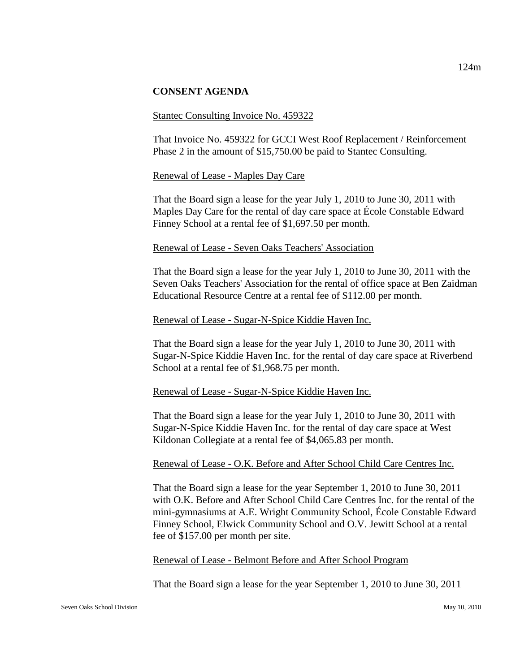#### Stantec Consulting Invoice No. 459322

That Invoice No. 459322 for GCCI West Roof Replacement / Reinforcement Phase 2 in the amount of \$15,750.00 be paid to Stantec Consulting.

#### Renewal of Lease - Maples Day Care

That the Board sign a lease for the year July 1, 2010 to June 30, 2011 with Maples Day Care for the rental of day care space at École Constable Edward Finney School at a rental fee of \$1,697.50 per month.

#### Renewal of Lease - Seven Oaks Teachers' Association

That the Board sign a lease for the year July 1, 2010 to June 30, 2011 with the Seven Oaks Teachers' Association for the rental of office space at Ben Zaidman Educational Resource Centre at a rental fee of \$112.00 per month.

#### Renewal of Lease - Sugar-N-Spice Kiddie Haven Inc.

That the Board sign a lease for the year July 1, 2010 to June 30, 2011 with Sugar-N-Spice Kiddie Haven Inc. for the rental of day care space at Riverbend School at a rental fee of \$1,968.75 per month.

#### Renewal of Lease - Sugar-N-Spice Kiddie Haven Inc.

That the Board sign a lease for the year July 1, 2010 to June 30, 2011 with Sugar-N-Spice Kiddie Haven Inc. for the rental of day care space at West Kildonan Collegiate at a rental fee of \$4,065.83 per month.

#### Renewal of Lease - O.K. Before and After School Child Care Centres Inc.

That the Board sign a lease for the year September 1, 2010 to June 30, 2011 with O.K. Before and After School Child Care Centres Inc. for the rental of the mini-gymnasiums at A.E. Wright Community School, École Constable Edward Finney School, Elwick Community School and O.V. Jewitt School at a rental fee of \$157.00 per month per site.

#### Renewal of Lease - Belmont Before and After School Program

That the Board sign a lease for the year September 1, 2010 to June 30, 2011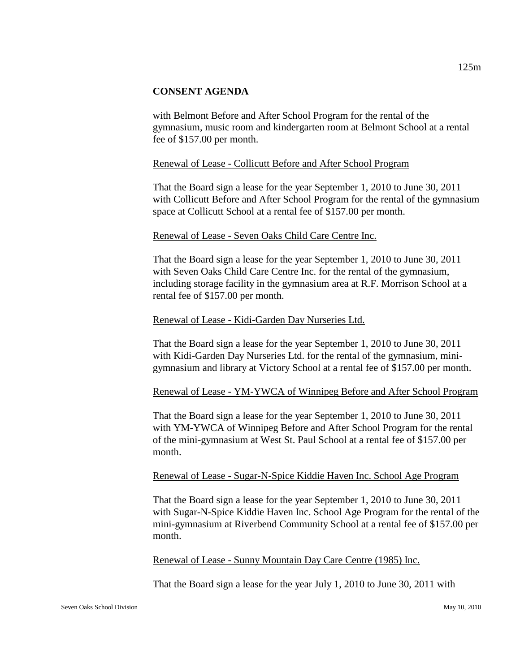with Belmont Before and After School Program for the rental of the gymnasium, music room and kindergarten room at Belmont School at a rental fee of \$157.00 per month.

### Renewal of Lease - Collicutt Before and After School Program

That the Board sign a lease for the year September 1, 2010 to June 30, 2011 with Collicutt Before and After School Program for the rental of the gymnasium space at Collicutt School at a rental fee of \$157.00 per month.

### Renewal of Lease - Seven Oaks Child Care Centre Inc.

That the Board sign a lease for the year September 1, 2010 to June 30, 2011 with Seven Oaks Child Care Centre Inc. for the rental of the gymnasium, including storage facility in the gymnasium area at R.F. Morrison School at a rental fee of \$157.00 per month.

### Renewal of Lease - Kidi-Garden Day Nurseries Ltd.

That the Board sign a lease for the year September 1, 2010 to June 30, 2011 with Kidi-Garden Day Nurseries Ltd. for the rental of the gymnasium, minigymnasium and library at Victory School at a rental fee of \$157.00 per month.

#### Renewal of Lease - YM-YWCA of Winnipeg Before and After School Program

That the Board sign a lease for the year September 1, 2010 to June 30, 2011 with YM-YWCA of Winnipeg Before and After School Program for the rental of the mini-gymnasium at West St. Paul School at a rental fee of \$157.00 per month.

#### Renewal of Lease - Sugar-N-Spice Kiddie Haven Inc. School Age Program

That the Board sign a lease for the year September 1, 2010 to June 30, 2011 with Sugar-N-Spice Kiddie Haven Inc. School Age Program for the rental of the mini-gymnasium at Riverbend Community School at a rental fee of \$157.00 per month.

Renewal of Lease - Sunny Mountain Day Care Centre (1985) Inc.

That the Board sign a lease for the year July 1, 2010 to June 30, 2011 with

125m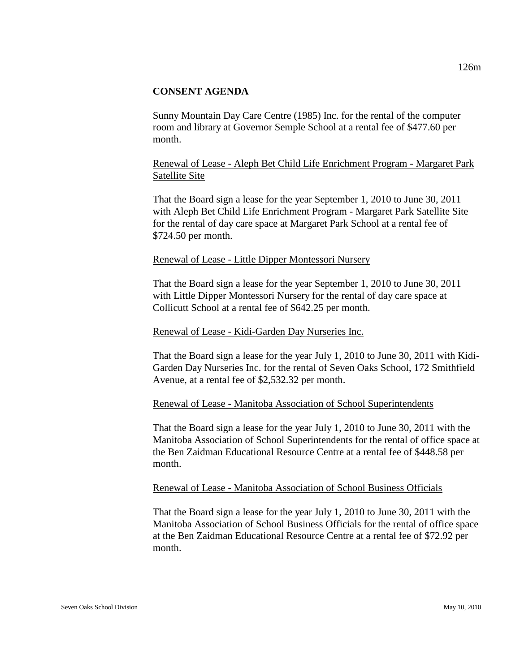Sunny Mountain Day Care Centre (1985) Inc. for the rental of the computer room and library at Governor Semple School at a rental fee of \$477.60 per month.

## Renewal of Lease - Aleph Bet Child Life Enrichment Program - Margaret Park Satellite Site

That the Board sign a lease for the year September 1, 2010 to June 30, 2011 with Aleph Bet Child Life Enrichment Program - Margaret Park Satellite Site for the rental of day care space at Margaret Park School at a rental fee of \$724.50 per month.

#### Renewal of Lease - Little Dipper Montessori Nursery

That the Board sign a lease for the year September 1, 2010 to June 30, 2011 with Little Dipper Montessori Nursery for the rental of day care space at Collicutt School at a rental fee of \$642.25 per month.

#### Renewal of Lease - Kidi-Garden Day Nurseries Inc.

That the Board sign a lease for the year July 1, 2010 to June 30, 2011 with Kidi-Garden Day Nurseries Inc. for the rental of Seven Oaks School, 172 Smithfield Avenue, at a rental fee of \$2,532.32 per month.

#### Renewal of Lease - Manitoba Association of School Superintendents

That the Board sign a lease for the year July 1, 2010 to June 30, 2011 with the Manitoba Association of School Superintendents for the rental of office space at the Ben Zaidman Educational Resource Centre at a rental fee of \$448.58 per month.

#### Renewal of Lease - Manitoba Association of School Business Officials

That the Board sign a lease for the year July 1, 2010 to June 30, 2011 with the Manitoba Association of School Business Officials for the rental of office space at the Ben Zaidman Educational Resource Centre at a rental fee of \$72.92 per month.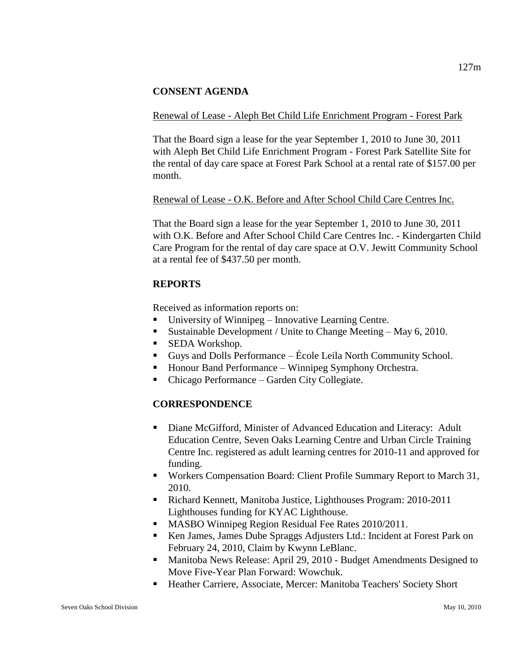## Renewal of Lease - Aleph Bet Child Life Enrichment Program - Forest Park

That the Board sign a lease for the year September 1, 2010 to June 30, 2011 with Aleph Bet Child Life Enrichment Program - Forest Park Satellite Site for the rental of day care space at Forest Park School at a rental rate of \$157.00 per month.

## Renewal of Lease - O.K. Before and After School Child Care Centres Inc.

That the Board sign a lease for the year September 1, 2010 to June 30, 2011 with O.K. Before and After School Child Care Centres Inc. - Kindergarten Child Care Program for the rental of day care space at O.V. Jewitt Community School at a rental fee of \$437.50 per month.

## **REPORTS**

Received as information reports on:

- University of Winnipeg Innovative Learning Centre.
- Sustainable Development / Unite to Change Meeting May 6, 2010.
- SEDA Workshop.
- Guys and Dolls Performance École Leila North Community School.
- Honour Band Performance Winnipeg Symphony Orchestra.
- Chicago Performance Garden City Collegiate.

## **CORRESPONDENCE**

- Diane McGifford, Minister of Advanced Education and Literacy: Adult Education Centre, Seven Oaks Learning Centre and Urban Circle Training Centre Inc. registered as adult learning centres for 2010-11 and approved for funding.
- Workers Compensation Board: Client Profile Summary Report to March 31, 2010.
- Richard Kennett, Manitoba Justice, Lighthouses Program: 2010-2011 Lighthouses funding for KYAC Lighthouse.
- **MASBO Winnipeg Region Residual Fee Rates 2010/2011.**
- Ken James, James Dube Spraggs Adjusters Ltd.: Incident at Forest Park on February 24, 2010, Claim by Kwynn LeBlanc.
- **Manitoba News Release: April 29, 2010 Budget Amendments Designed to** Move Five-Year Plan Forward: Wowchuk.
- Heather Carriere, Associate, Mercer: Manitoba Teachers' Society Short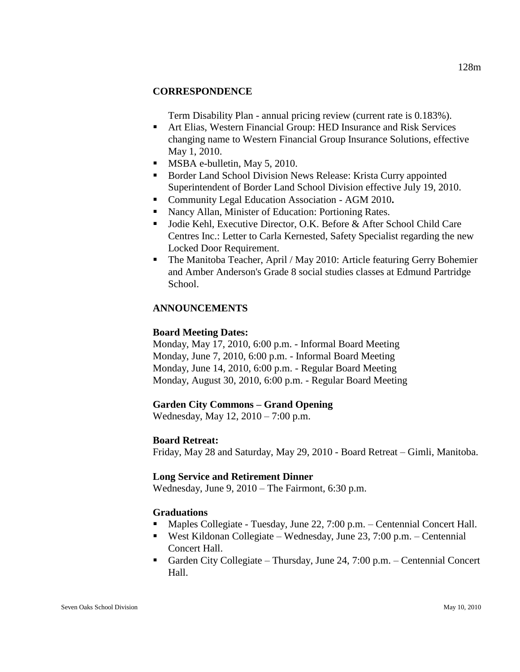## **CORRESPONDENCE**

Term Disability Plan - annual pricing review (current rate is 0.183%).

- Art Elias, Western Financial Group: HED Insurance and Risk Services changing name to Western Financial Group Insurance Solutions, effective May 1, 2010.
- MSBA e-bulletin, May 5, 2010.
- Border Land School Division News Release: Krista Curry appointed Superintendent of Border Land School Division effective July 19, 2010.
- Community Legal Education Association AGM 2010**.**
- Nancy Allan, Minister of Education: Portioning Rates.
- **Jodie Kehl, Executive Director, O.K. Before & After School Child Care** Centres Inc.: Letter to Carla Kernested, Safety Specialist regarding the new Locked Door Requirement.
- The Manitoba Teacher, April / May 2010: Article featuring Gerry Bohemier and Amber Anderson's Grade 8 social studies classes at Edmund Partridge School.

## **ANNOUNCEMENTS**

## **Board Meeting Dates:**

Monday, May 17, 2010, 6:00 p.m. - Informal Board Meeting Monday, June 7, 2010, 6:00 p.m. - Informal Board Meeting Monday, June 14, 2010, 6:00 p.m. - Regular Board Meeting Monday, August 30, 2010, 6:00 p.m. - Regular Board Meeting

#### **Garden City Commons – Grand Opening**

Wednesday, May 12, 2010 – 7:00 p.m.

#### **Board Retreat:**

Friday, May 28 and Saturday, May 29, 2010 - Board Retreat – Gimli, Manitoba.

#### **Long Service and Retirement Dinner**

Wednesday, June 9, 2010 – The Fairmont, 6:30 p.m.

## **Graduations**

- Maples Collegiate Tuesday, June 22, 7:00 p.m. Centennial Concert Hall.
- West Kildonan Collegiate Wednesday, June 23, 7:00 p.m. Centennial Concert Hall.
- Garden City Collegiate Thursday, June 24, 7:00 p.m. Centennial Concert Hall.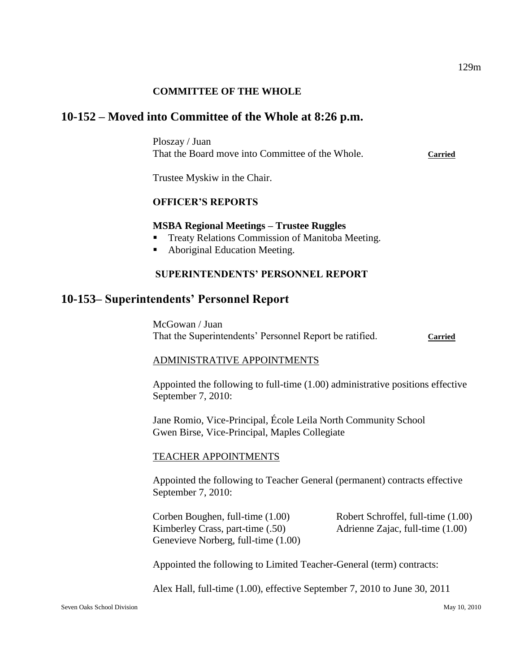## **COMMITTEE OF THE WHOLE**

## **10-152 – Moved into Committee of the Whole at 8:26 p.m.**

Ploszay / Juan That the Board move into Committee of the Whole. **Carried**

Trustee Myskiw in the Chair.

#### **OFFICER'S REPORTS**

#### **MSBA Regional Meetings – Trustee Ruggles**

- Treaty Relations Commission of Manitoba Meeting.
- Aboriginal Education Meeting.

#### **SUPERINTENDENTS' PERSONNEL REPORT**

## **10-153– Superintendents' Personnel Report**

McGowan / Juan That the Superintendents' Personnel Report be ratified. **Carried**

#### ADMINISTRATIVE APPOINTMENTS

Appointed the following to full-time (1.00) administrative positions effective September 7, 2010:

Jane Romio, Vice-Principal, École Leila North Community School Gwen Birse, Vice-Principal, Maples Collegiate

#### TEACHER APPOINTMENTS

Appointed the following to Teacher General (permanent) contracts effective September 7, 2010:

Corben Boughen, full-time (1.00) Robert Schroffel, full-time (1.00) Kimberley Crass, part-time (.50) Adrienne Zajac, full-time (1.00) Genevieve Norberg, full-time (1.00)

Appointed the following to Limited Teacher-General (term) contracts:

Alex Hall, full-time (1.00), effective September 7, 2010 to June 30, 2011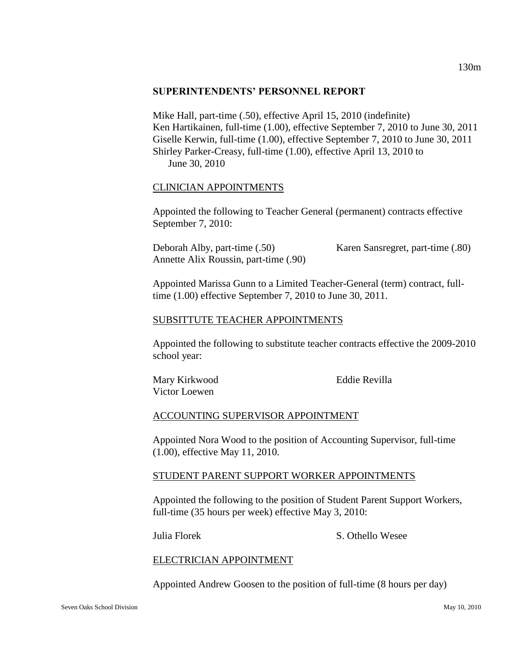#### **SUPERINTENDENTS' PERSONNEL REPORT**

Mike Hall, part-time (.50), effective April 15, 2010 (indefinite) Ken Hartikainen, full-time (1.00), effective September 7, 2010 to June 30, 2011 Giselle Kerwin, full-time (1.00), effective September 7, 2010 to June 30, 2011 Shirley Parker-Creasy, full-time (1.00), effective April 13, 2010 to June 30, 2010

### CLINICIAN APPOINTMENTS

Appointed the following to Teacher General (permanent) contracts effective September 7, 2010:

Deborah Alby, part-time (.50) Karen Sansregret, part-time (.80) Annette Alix Roussin, part-time (.90)

Appointed Marissa Gunn to a Limited Teacher-General (term) contract, fulltime (1.00) effective September 7, 2010 to June 30, 2011.

### SUBSITTUTE TEACHER APPOINTMENTS

Appointed the following to substitute teacher contracts effective the 2009-2010 school year:

Mary Kirkwood Eddie Revilla Victor Loewen

## ACCOUNTING SUPERVISOR APPOINTMENT

Appointed Nora Wood to the position of Accounting Supervisor, full-time (1.00), effective May 11, 2010.

#### STUDENT PARENT SUPPORT WORKER APPOINTMENTS

Appointed the following to the position of Student Parent Support Workers, full-time (35 hours per week) effective May 3, 2010:

Julia Florek S. Othello Wesee

#### ELECTRICIAN APPOINTMENT

Appointed Andrew Goosen to the position of full-time (8 hours per day)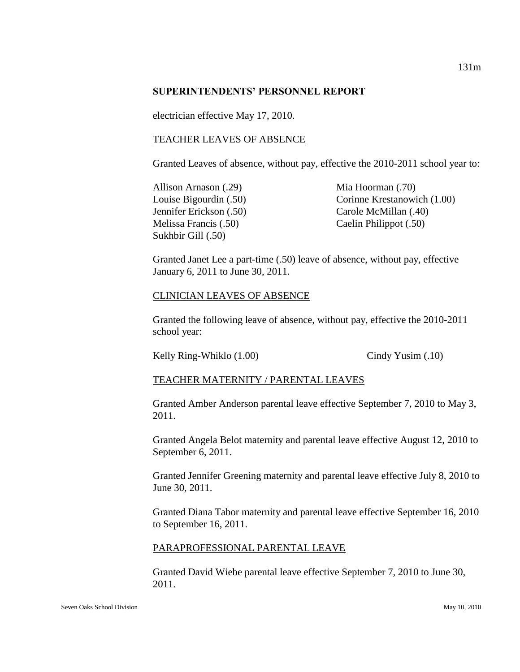#### **SUPERINTENDENTS' PERSONNEL REPORT**

electrician effective May 17, 2010.

### TEACHER LEAVES OF ABSENCE

Granted Leaves of absence, without pay, effective the 2010-2011 school year to:

- Allison Arnason (.29) Mia Hoorman (.70) Melissa Francis (.50) Caelin Philippot (.50) Sukhbir Gill (.50)
- Louise Bigourdin (.50) Corinne Krestanowich (1.00) Jennifer Erickson (.50) Carole McMillan (.40)

Granted Janet Lee a part-time (.50) leave of absence, without pay, effective January 6, 2011 to June 30, 2011.

### CLINICIAN LEAVES OF ABSENCE

Granted the following leave of absence, without pay, effective the 2010-2011 school year:

Kelly Ring-Whiklo (1.00) Cindy Yusim (.10)

## TEACHER MATERNITY / PARENTAL LEAVES

Granted Amber Anderson parental leave effective September 7, 2010 to May 3, 2011.

Granted Angela Belot maternity and parental leave effective August 12, 2010 to September 6, 2011.

Granted Jennifer Greening maternity and parental leave effective July 8, 2010 to June 30, 2011.

Granted Diana Tabor maternity and parental leave effective September 16, 2010 to September 16, 2011.

## PARAPROFESSIONAL PARENTAL LEAVE

Granted David Wiebe parental leave effective September 7, 2010 to June 30, 2011.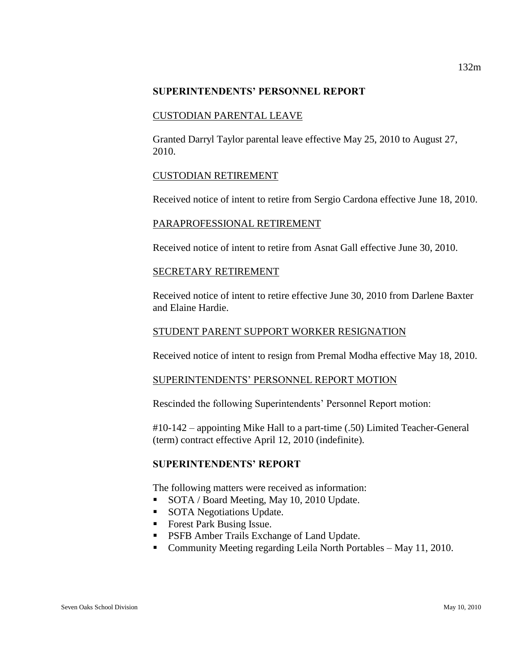#### **SUPERINTENDENTS' PERSONNEL REPORT**

### CUSTODIAN PARENTAL LEAVE

Granted Darryl Taylor parental leave effective May 25, 2010 to August 27, 2010.

### CUSTODIAN RETIREMENT

Received notice of intent to retire from Sergio Cardona effective June 18, 2010.

### PARAPROFESSIONAL RETIREMENT

Received notice of intent to retire from Asnat Gall effective June 30, 2010.

### SECRETARY RETIREMENT

Received notice of intent to retire effective June 30, 2010 from Darlene Baxter and Elaine Hardie.

### STUDENT PARENT SUPPORT WORKER RESIGNATION

Received notice of intent to resign from Premal Modha effective May 18, 2010.

## SUPERINTENDENTS' PERSONNEL REPORT MOTION

Rescinded the following Superintendents' Personnel Report motion:

#10-142 – appointing Mike Hall to a part-time (.50) Limited Teacher-General (term) contract effective April 12, 2010 (indefinite).

## **SUPERINTENDENTS' REPORT**

The following matters were received as information:

- SOTA / Board Meeting, May 10, 2010 Update.
- SOTA Negotiations Update.
- Forest Park Busing Issue.
- **PSFB Amber Trails Exchange of Land Update.**
- Community Meeting regarding Leila North Portables May 11, 2010.

132m